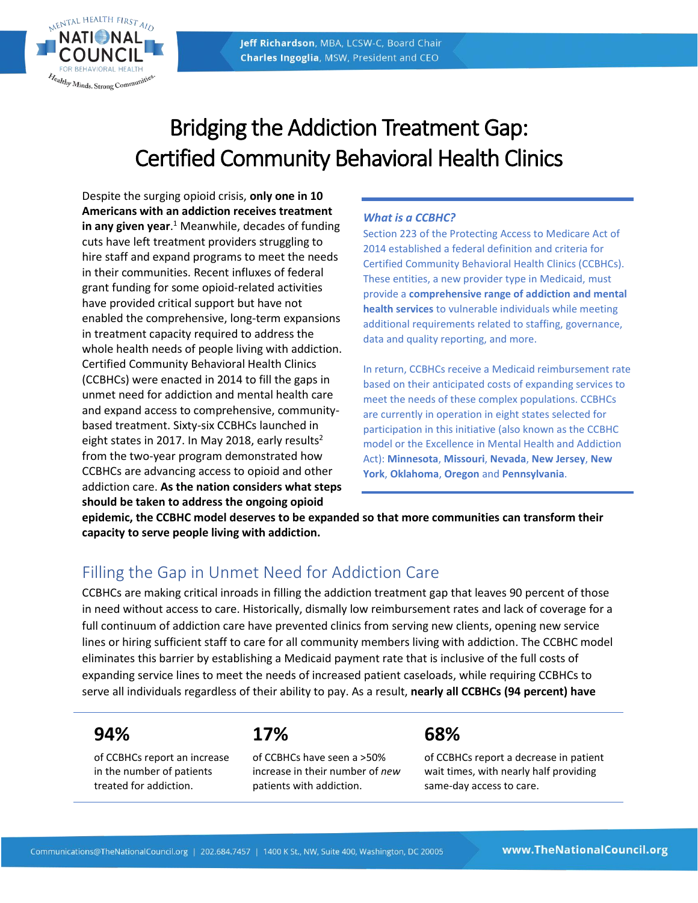

# Bridging the Addiction Treatment Gap: Certified Community Behavioral Health Clinics

Despite the surging opioid crisis, **only one in 10 Americans with an addiction receives treatment in any given year**.<sup>1</sup> Meanwhile, decades of funding cuts have left treatment providers struggling to hire staff and expand programs to meet the needs in their communities. Recent influxes of federal grant funding for some opioid-related activities have provided critical support but have not enabled the comprehensive, long-term expansions in treatment capacity required to address the whole health needs of people living with addiction. Certified Community Behavioral Health Clinics (CCBHCs) were enacted in 2014 to fill the gaps in unmet need for addiction and mental health care and expand access to comprehensive, communitybased treatment. Sixty-six CCBHCs launched in eight states in 2017. In May 2018, early results<sup>2</sup> from the two-year program demonstrated how CCBHCs are advancing access to opioid and other addiction care. **As the nation considers what steps should be taken to address the ongoing opioid** 

#### *What is a CCBHC?*

Section 223 of the Protecting Access to Medicare Act of 2014 established a federal definition and criteria for Certified Community Behavioral Health Clinics (CCBHCs). These entities, a new provider type in Medicaid, must provide a **comprehensive range of addiction and mental health services** to vulnerable individuals while meeting additional requirements related to staffing, governance, data and quality reporting, and more.

In return, CCBHCs receive a Medicaid reimbursement rate based on their anticipated costs of expanding services to meet the needs of these complex populations. CCBHCs are currently in operation in eight states selected for participation in this initiative (also known as the CCBHC model or the Excellence in Mental Health and Addiction Act): **Minnesota**, **Missouri**, **Nevada**, **New Jersey**, **New York**, **Oklahoma**, **Oregon** and **Pennsylvania**.

**epidemic, the CCBHC model deserves to be expanded so that more communities can transform their capacity to serve people living with addiction.**

### Filling the Gap in Unmet Need for Addiction Care

CCBHCs are making critical inroads in filling the addiction treatment gap that leaves 90 percent of those in need without access to care. Historically, dismally low reimbursement rates and lack of coverage for a full continuum of addiction care have prevented clinics from serving new clients, opening new service lines or hiring sufficient staff to care for all community members living with addiction. The CCBHC model eliminates this barrier by establishing a Medicaid payment rate that is inclusive of the full costs of expanding service lines to meet the needs of increased patient caseloads, while requiring CCBHCs to serve all individuals regardless of their ability to pay. As a result, **nearly all CCBHCs (94 percent) have** 

### **94%**

of CCBHCs report an increase in the number of patients treated for addiction.

**17%**

of CCBHCs have seen a >50% increase in their number of *new* patients with addiction.

### **68%**

of CCBHCs report a decrease in patient wait times, with nearly half providing same-day access to care.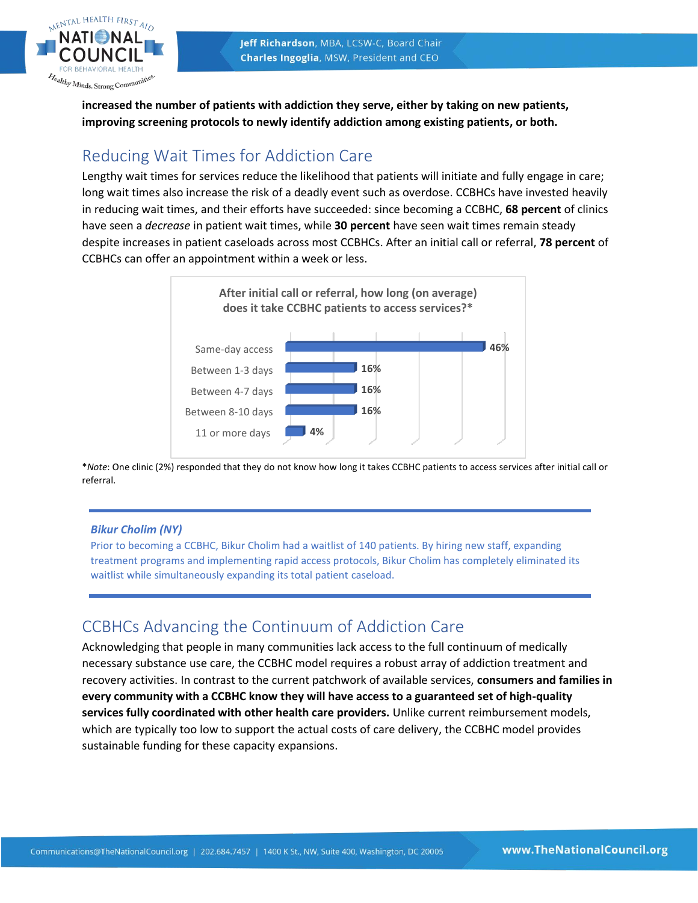



**increased the number of patients with addiction they serve, either by taking on new patients, improving screening protocols to newly identify addiction among existing patients, or both.**

### Reducing Wait Times for Addiction Care

Lengthy wait times for services reduce the likelihood that patients will initiate and fully engage in care; long wait times also increase the risk of a deadly event such as overdose. CCBHCs have invested heavily in reducing wait times, and their efforts have succeeded: since becoming a CCBHC, **68 percent** of clinics have seen a *decrease* in patient wait times, while **30 percent** have seen wait times remain steady despite increases in patient caseloads across most CCBHCs. After an initial call or referral, **78 percent** of CCBHCs can offer an appointment within a week or less.



\**Note*: One clinic (2%) responded that they do not know how long it takes CCBHC patients to access services after initial call or referral.

#### *Bikur Cholim (NY)*

Prior to becoming a CCBHC, Bikur Cholim had a waitlist of 140 patients. By hiring new staff, expanding treatment programs and implementing rapid access protocols, Bikur Cholim has completely eliminated its waitlist while simultaneously expanding its total patient caseload.

### CCBHCs Advancing the Continuum of Addiction Care

Acknowledging that people in many communities lack access to the full continuum of medically necessary substance use care, the CCBHC model requires a robust array of addiction treatment and recovery activities. In contrast to the current patchwork of available services, **consumers and families in every community with a CCBHC know they will have access to a guaranteed set of high-quality services fully coordinated with other health care providers.** Unlike current reimbursement models, which are typically too low to support the actual costs of care delivery, the CCBHC model provides sustainable funding for these capacity expansions.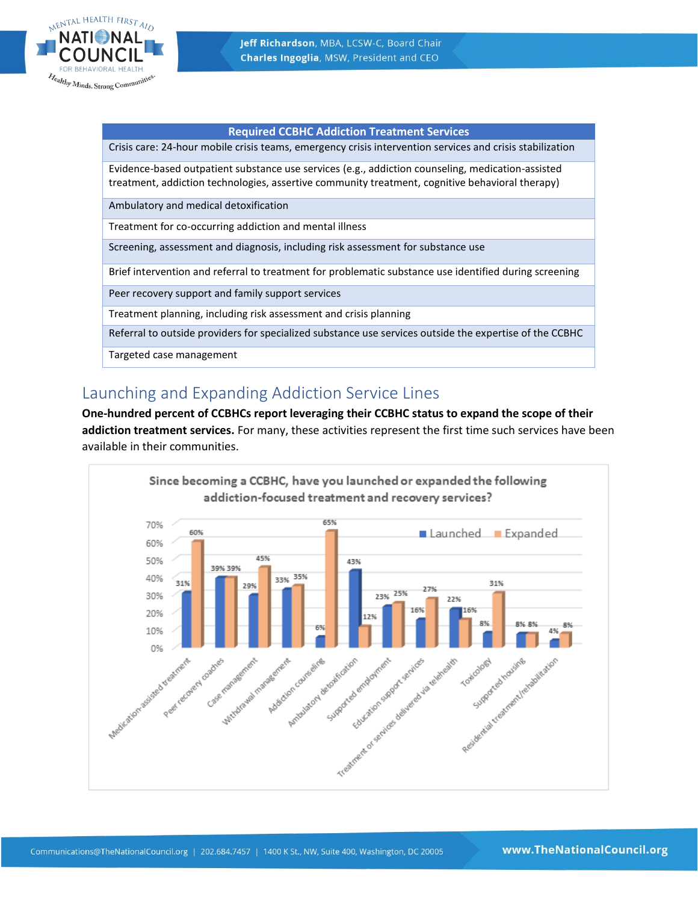

#### **Required CCBHC Addiction Treatment Services**

Crisis care: 24-hour mobile crisis teams, emergency crisis intervention services and crisis stabilization

Evidence-based outpatient substance use services (e.g., addiction counseling, medication-assisted treatment, addiction technologies, assertive community treatment, cognitive behavioral therapy)

Ambulatory and medical detoxification

Treatment for co-occurring addiction and mental illness

Screening, assessment and diagnosis, including risk assessment for substance use

Brief intervention and referral to treatment for problematic substance use identified during screening

Peer recovery support and family support services

Treatment planning, including risk assessment and crisis planning

Referral to outside providers for specialized substance use services outside the expertise of the CCBHC

Targeted case management

### Launching and Expanding Addiction Service Lines

**One-hundred percent of CCBHCs report leveraging their CCBHC status to expand the scope of their addiction treatment services.** For many, these activities represent the first time such services have been available in their communities.

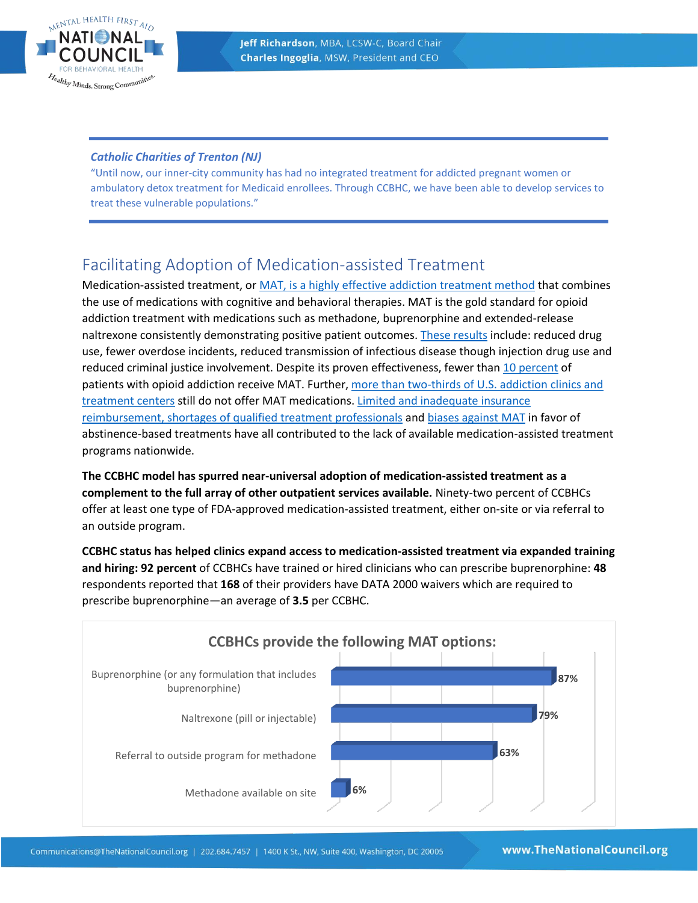

#### *Catholic Charities of Trenton (NJ)*

"Until now, our inner-city community has had no integrated treatment for addicted pregnant women or ambulatory detox treatment for Medicaid enrollees. Through CCBHC, we have been able to develop services to treat these vulnerable populations."

### Facilitating Adoption of Medication-assisted Treatment

Medication-assisted treatment, o[r MAT, is a highly effective addiction treatment method](https://www.thenationalcouncil.org/mat/) that combines the use of medications with cognitive and behavioral therapies. MAT is the gold standard for opioid addiction treatment with medications such as methadone, buprenorphine and extended-release naltrexone consistently demonstrating positive patient outcomes. [These results](http://adai.uw.edu/pubs/infobriefs/MAT.pdf) include: reduced drug use, fewer overdose incidents, reduced transmission of infectious disease though injection drug use and reduced criminal justice involvement. Despite its proven effectiveness, fewer than [10 percent](https://www.centeronaddiction.org/addiction-research/reports/ending-opioid-crisis-practical-guide-state-policymakers) of patients with opioid addiction receive MAT. Further, [more than two-thirds of U.S. addiction clinics and](http://www.pewtrusts.org/en/research-and-analysis/blogs/stateline/2016/12/23/in-drug-epidemic-resistance-to-medication-costs-lives)  [treatment centers](http://www.pewtrusts.org/en/research-and-analysis/blogs/stateline/2016/12/23/in-drug-epidemic-resistance-to-medication-costs-lives) still do not offer MAT medications. Limited and inadequate insurance [reimbursement, shortages of qualified treatment professionals](https://www.ncbi.nlm.nih.gov/pmc/articles/PMC3114165/) and [biases against MAT](https://www.thenationalcouncil.org/wp-content/uploads/2016/10/MF_1_30.pdf) in favor of abstinence-based treatments have all contributed to the lack of available medication-assisted treatment programs nationwide.

**The CCBHC model has spurred near-universal adoption of medication-assisted treatment as a complement to the full array of other outpatient services available.** Ninety-two percent of CCBHCs offer at least one type of FDA-approved medication-assisted treatment, either on-site or via referral to an outside program.

**CCBHC status has helped clinics expand access to medication-assisted treatment via expanded training and hiring: 92 percent** of CCBHCs have trained or hired clinicians who can prescribe buprenorphine: **48** respondents reported that **168** of their providers have DATA 2000 waivers which are required to prescribe buprenorphine—an average of **3.5** per CCBHC.

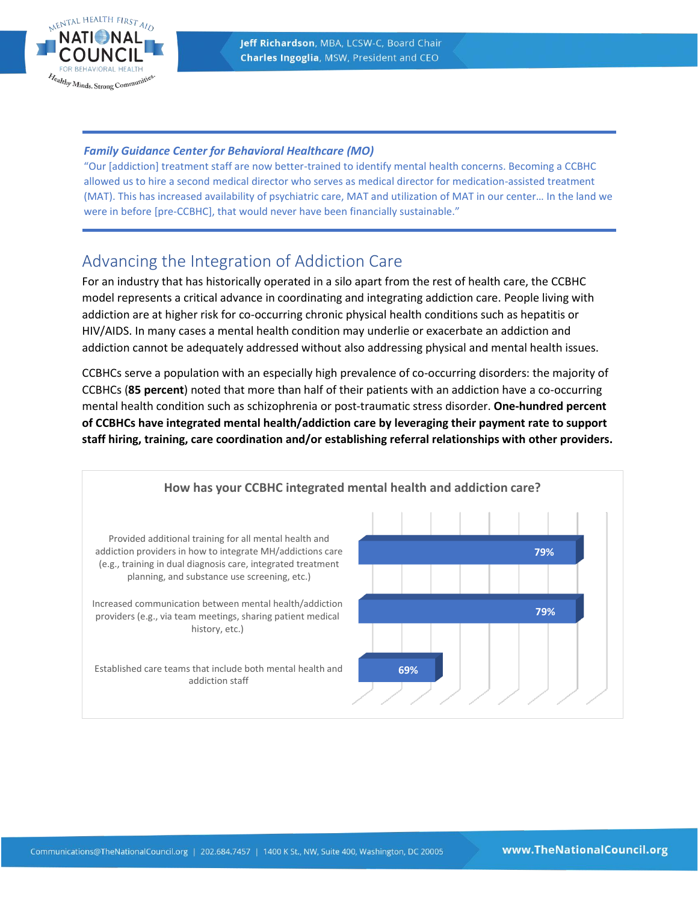

#### *Family Guidance Center for Behavioral Healthcare (MO)*

"Our [addiction] treatment staff are now better-trained to identify mental health concerns. Becoming a CCBHC allowed us to hire a second medical director who serves as medical director for medication-assisted treatment (MAT). This has increased availability of psychiatric care, MAT and utilization of MAT in our center… In the land we were in before [pre-CCBHC], that would never have been financially sustainable."

### Advancing the Integration of Addiction Care

For an industry that has historically operated in a silo apart from the rest of health care, the CCBHC model represents a critical advance in coordinating and integrating addiction care. People living with addiction are at higher risk for co-occurring chronic physical health conditions such as hepatitis or HIV/AIDS. In many cases a mental health condition may underlie or exacerbate an addiction and addiction cannot be adequately addressed without also addressing physical and mental health issues.

CCBHCs serve a population with an especially high prevalence of co-occurring disorders: the majority of CCBHCs (**85 percent**) noted that more than half of their patients with an addiction have a co-occurring mental health condition such as schizophrenia or post-traumatic stress disorder. **One-hundred percent of CCBHCs have integrated mental health/addiction care by leveraging their payment rate to support staff hiring, training, care coordination and/or establishing referral relationships with other providers.**

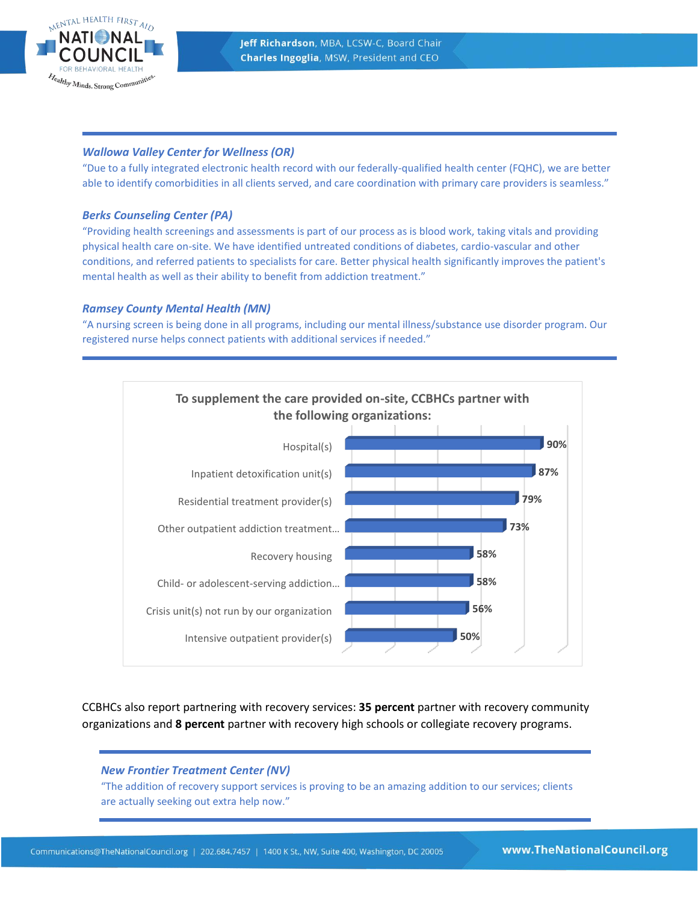

#### *Wallowa Valley Center for Wellness (OR)*

"Due to a fully integrated electronic health record with our federally-qualified health center (FQHC), we are better able to identify comorbidities in all clients served, and care coordination with primary care providers is seamless."

#### *Berks Counseling Center (PA)*

"Providing health screenings and assessments is part of our process as is blood work, taking vitals and providing physical health care on-site. We have identified untreated conditions of diabetes, cardio-vascular and other conditions, and referred patients to specialists for care. Better physical health significantly improves the patient's mental health as well as their ability to benefit from addiction treatment."

#### *Ramsey County Mental Health (MN)*

"A nursing screen is being done in all programs, including our mental illness/substance use disorder program. Our registered nurse helps connect patients with additional services if needed."



CCBHCs also report partnering with recovery services: **35 percent** partner with recovery community organizations and **8 percent** partner with recovery high schools or collegiate recovery programs.

#### *New Frontier Treatment Center (NV)*

"The addition of recovery support services is proving to be an amazing addition to our services; clients are actually seeking out extra help now."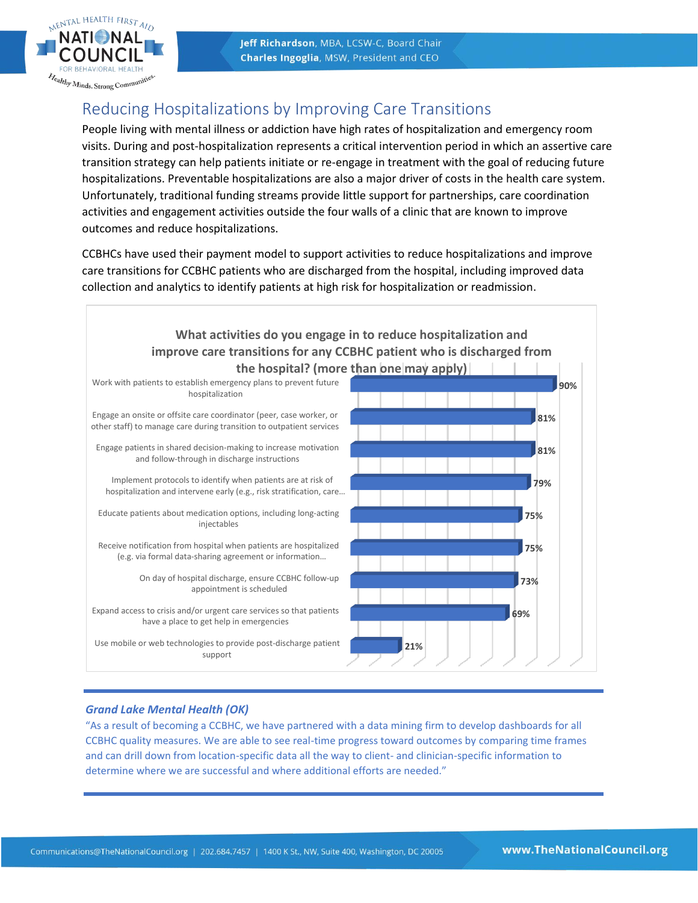

## Reducing Hospitalizations by Improving Care Transitions

People living with mental illness or addiction have high rates of hospitalization and emergency room visits. During and post-hospitalization represents a critical intervention period in which an assertive care transition strategy can help patients initiate or re-engage in treatment with the goal of reducing future hospitalizations. Preventable hospitalizations are also a major driver of costs in the health care system. Unfortunately, traditional funding streams provide little support for partnerships, care coordination activities and engagement activities outside the four walls of a clinic that are known to improve outcomes and reduce hospitalizations.

CCBHCs have used their payment model to support activities to reduce hospitalizations and improve care transitions for CCBHC patients who are discharged from the hospital, including improved data collection and analytics to identify patients at high risk for hospitalization or readmission.



#### *Grand Lake Mental Health (OK)*

"As a result of becoming a CCBHC, we have partnered with a data mining firm to develop dashboards for all CCBHC quality measures. We are able to see real-time progress toward outcomes by comparing time frames and can drill down from location-specific data all the way to client- and clinician-specific information to determine where we are successful and where additional efforts are needed."